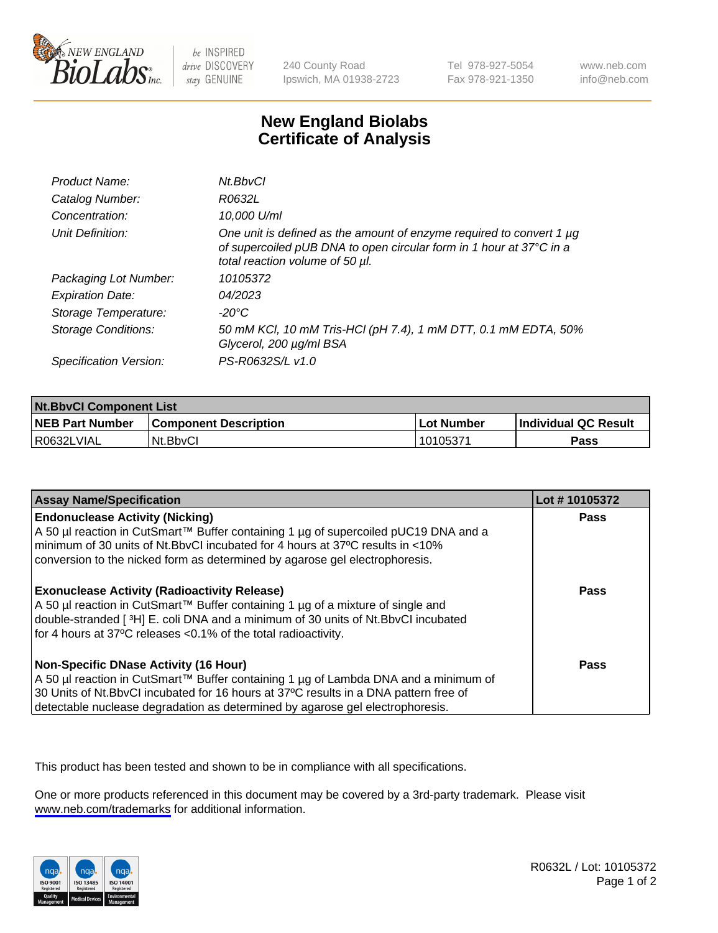

be INSPIRED drive DISCOVERY stay GENUINE

240 County Road Ipswich, MA 01938-2723 Tel 978-927-5054 Fax 978-921-1350

www.neb.com info@neb.com

## **New England Biolabs Certificate of Analysis**

| Product Name:              | Nt.BbvCl                                                                                                                                                                            |
|----------------------------|-------------------------------------------------------------------------------------------------------------------------------------------------------------------------------------|
| Catalog Number:            | R0632L                                                                                                                                                                              |
| Concentration:             | 10,000 U/ml                                                                                                                                                                         |
| Unit Definition:           | One unit is defined as the amount of enzyme required to convert 1 $\mu$ g<br>of supercoiled pUB DNA to open circular form in 1 hour at 37°C in a<br>total reaction volume of 50 µl. |
| Packaging Lot Number:      | 10105372                                                                                                                                                                            |
| <b>Expiration Date:</b>    | 04/2023                                                                                                                                                                             |
| Storage Temperature:       | -20°C                                                                                                                                                                               |
| <b>Storage Conditions:</b> | 50 mM KCl, 10 mM Tris-HCl (pH 7.4), 1 mM DTT, 0.1 mM EDTA, 50%<br>Glycerol, 200 µg/ml BSA                                                                                           |
| Specification Version:     | PS-R0632S/L v1.0                                                                                                                                                                    |

| <b>Nt.BbyCl Component List</b> |                              |            |                             |  |
|--------------------------------|------------------------------|------------|-----------------------------|--|
| <b>NEB Part Number</b>         | <b>Component Description</b> | Lot Number | <b>Individual QC Result</b> |  |
| R0632LVIAL                     | Nt.BbyCl                     | 10105371   | Pass                        |  |

| <b>Assay Name/Specification</b>                                                                                                                                                                                                                                                                               | Lot #10105372 |
|---------------------------------------------------------------------------------------------------------------------------------------------------------------------------------------------------------------------------------------------------------------------------------------------------------------|---------------|
| <b>Endonuclease Activity (Nicking)</b><br>A 50 µl reaction in CutSmart™ Buffer containing 1 µg of supercoiled pUC19 DNA and a<br>minimum of 30 units of Nt. BbvCI incubated for 4 hours at 37°C results in <10%<br>conversion to the nicked form as determined by agarose gel electrophoresis.                | <b>Pass</b>   |
| <b>Exonuclease Activity (Radioactivity Release)</b><br>A 50 µl reaction in CutSmart™ Buffer containing 1 µg of a mixture of single and<br>double-stranded [3H] E. coli DNA and a minimum of 30 units of Nt. BbvCl incubated<br>for 4 hours at 37°C releases <0.1% of the total radioactivity.                 | <b>Pass</b>   |
| <b>Non-Specific DNase Activity (16 Hour)</b><br>A 50 µl reaction in CutSmart™ Buffer containing 1 µg of Lambda DNA and a minimum of<br>30 Units of Nt. BbvCl incubated for 16 hours at 37°C results in a DNA pattern free of<br>detectable nuclease degradation as determined by agarose gel electrophoresis. | Pass          |

This product has been tested and shown to be in compliance with all specifications.

One or more products referenced in this document may be covered by a 3rd-party trademark. Please visit <www.neb.com/trademarks>for additional information.